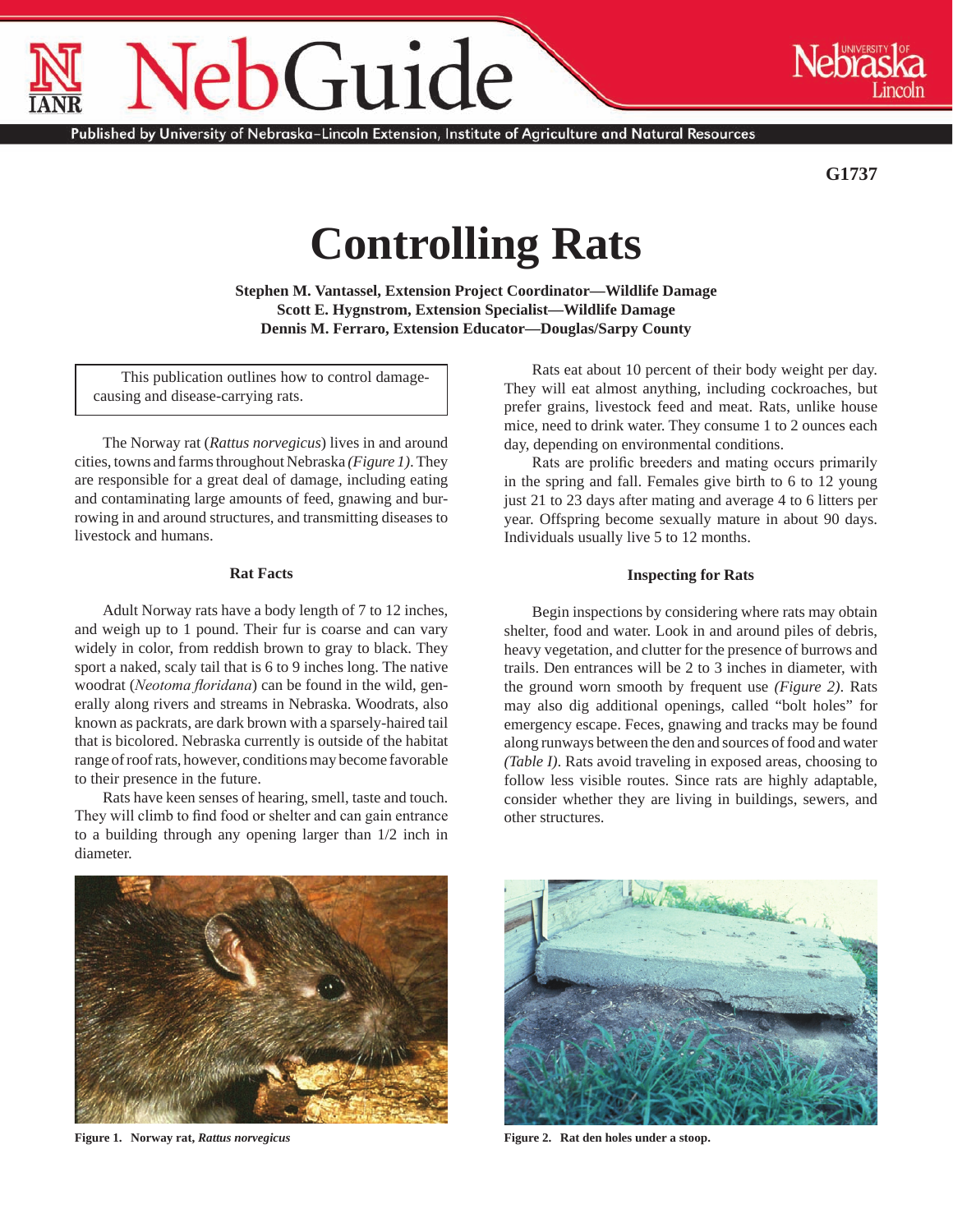# $O$ Guide

Published by University of Nebraska–Lincoln Extension, Institute of Agriculture and Natural Resources

**G1737**

# **Controlling Rats**

**Stephen M. Vantassel, Extension Project Coordinator—Wildlife Damage Scott E. Hygnstrom, Extension Specialist—Wildlife Damage Dennis M. Ferraro, Extension Educator—Douglas/Sarpy County**

This publication outlines how to control damagecausing and disease-carrying rats.

The Norway rat (*Rattus norvegicus*) lives in and around cities, towns and farms throughout Nebraska *(Figure 1)*. They are responsible for a great deal of damage, including eating and contaminating large amounts of feed, gnawing and burrowing in and around structures, and transmitting diseases to livestock and humans.

# **Rat Facts**

Adult Norway rats have a body length of 7 to 12 inches, and weigh up to 1 pound. Their fur is coarse and can vary widely in color, from reddish brown to gray to black. They sport a naked, scaly tail that is 6 to 9 inches long. The native woodrat (*Neotoma floridana*) can be found in the wild, generally along rivers and streams in Nebraska. Woodrats, also known as packrats, are dark brown with a sparsely-haired tail that is bicolored. Nebraska currently is outside of the habitat range of roof rats, however, conditions may become favorable to their presence in the future.

Rats have keen senses of hearing, smell, taste and touch. They will climb to find food or shelter and can gain entrance to a building through any opening larger than 1/2 inch in diameter.

Rats eat about 10 percent of their body weight per day. They will eat almost anything, including cockroaches, but prefer grains, livestock feed and meat. Rats, unlike house mice, need to drink water. They consume 1 to 2 ounces each day, depending on environmental conditions.

Rats are prolific breeders and mating occurs primarily in the spring and fall. Females give birth to 6 to 12 young just 21 to 23 days after mating and average 4 to 6 litters per year. Offspring become sexually mature in about 90 days. Individuals usually live 5 to 12 months.

# **Inspecting for Rats**

Begin inspections by considering where rats may obtain shelter, food and water. Look in and around piles of debris, heavy vegetation, and clutter for the presence of burrows and trails. Den entrances will be 2 to 3 inches in diameter, with the ground worn smooth by frequent use *(Figure 2)*. Rats may also dig additional openings, called "bolt holes" for emergency escape. Feces, gnawing and tracks may be found along runways between the den and sources of food and water *(Table I)*. Rats avoid traveling in exposed areas, choosing to follow less visible routes. Since rats are highly adaptable, consider whether they are living in buildings, sewers, and other structures.



**Figure 1. Norway rat,** *Rattus norvegicus* **Figure 2. Rat den holes under a stoop.**

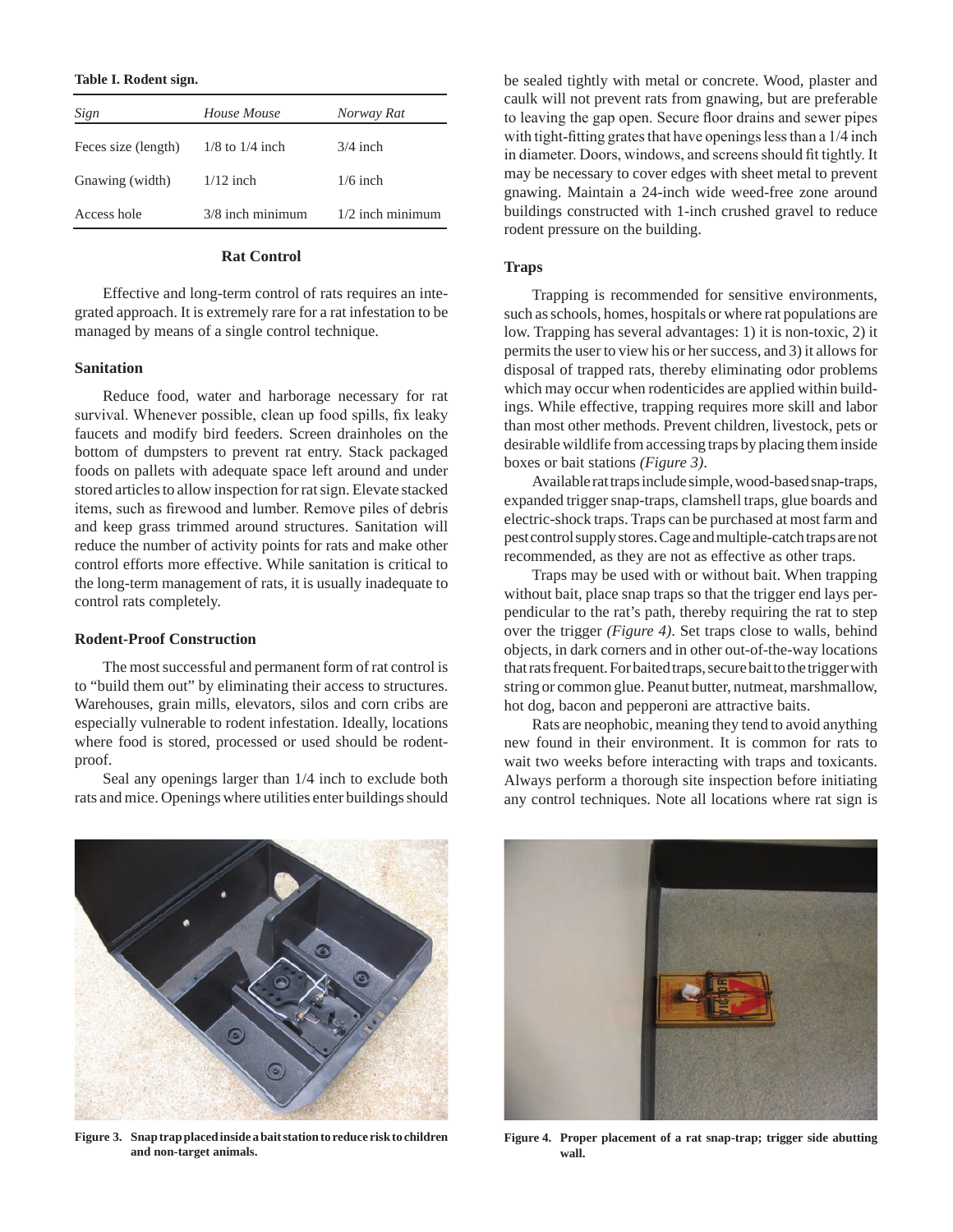#### **Table I. Rodent sign.**

| Sign                | House Mouse         | Norway Rat         |
|---------------------|---------------------|--------------------|
| Feces size (length) | $1/8$ to $1/4$ inch | $3/4$ inch         |
| Gnawing (width)     | $1/12$ inch         | $1/6$ inch         |
| Access hole         | $3/8$ inch minimum  | $1/2$ inch minimum |

# **Rat Control**

Effective and long-term control of rats requires an integrated approach. It is extremely rare for a rat infestation to be managed by means of a single control technique.

#### **Sanitation**

Reduce food, water and harborage necessary for rat survival. Whenever possible, clean up food spills, fix leaky faucets and modify bird feeders. Screen drainholes on the bottom of dumpsters to prevent rat entry. Stack packaged foods on pallets with adequate space left around and under stored articles to allow inspection for rat sign. Elevate stacked items, such as firewood and lumber. Remove piles of debris and keep grass trimmed around structures. Sanitation will reduce the number of activity points for rats and make other control efforts more effective. While sanitation is critical to the long-term management of rats, it is usually inadequate to control rats completely.

#### **Rodent-Proof Construction**

The most successful and permanent form of rat control is to "build them out" by eliminating their access to structures. Warehouses, grain mills, elevators, silos and corn cribs are especially vulnerable to rodent infestation. Ideally, locations where food is stored, processed or used should be rodentproof.

Seal any openings larger than 1/4 inch to exclude both rats and mice. Openings where utilities enter buildings should be sealed tightly with metal or concrete. Wood, plaster and caulk will not prevent rats from gnawing, but are preferable to leaving the gap open. Secure floor drains and sewer pipes with tight-fitting grates that have openings less than a 1/4 inch in diameter. Doors, windows, and screens should fit tightly. It may be necessary to cover edges with sheet metal to prevent gnawing. Maintain a 24-inch wide weed-free zone around buildings constructed with 1-inch crushed gravel to reduce rodent pressure on the building.

# **Traps**

Trapping is recommended for sensitive environments, such as schools, homes, hospitals or where rat populations are low. Trapping has several advantages: 1) it is non-toxic, 2) it permits the user to view his or her success, and 3) it allows for disposal of trapped rats, thereby eliminating odor problems which may occur when rodenticides are applied within buildings. While effective, trapping requires more skill and labor than most other methods. Prevent children, livestock, pets or desirable wildlife from accessing traps by placing them inside boxes or bait stations *(Figure 3)*.

Available rat traps include simple, wood-based snap-traps, expanded trigger snap-traps, clamshell traps, glue boards and electric-shock traps. Traps can be purchased at most farm and pest control supply stores. Cage and multiple-catch traps are not recommended, as they are not as effective as other traps.

Traps may be used with or without bait. When trapping without bait, place snap traps so that the trigger end lays perpendicular to the rat's path, thereby requiring the rat to step over the trigger *(Figure 4)*. Set traps close to walls, behind objects, in dark corners and in other out-of-the-way locations that rats frequent. For baited traps, secure bait to the trigger with string or common glue. Peanut butter, nutmeat, marshmallow, hot dog, bacon and pepperoni are attractive baits.

Rats are neophobic, meaning they tend to avoid anything new found in their environment. It is common for rats to wait two weeks before interacting with traps and toxicants. Always perform a thorough site inspection before initiating any control techniques. Note all locations where rat sign is



**Figure 3. Snap trap placed inside a bait station to reduce risk to children and non-target animals.**



**Figure 4. Proper placement of a rat snap-trap; trigger side abutting wall.**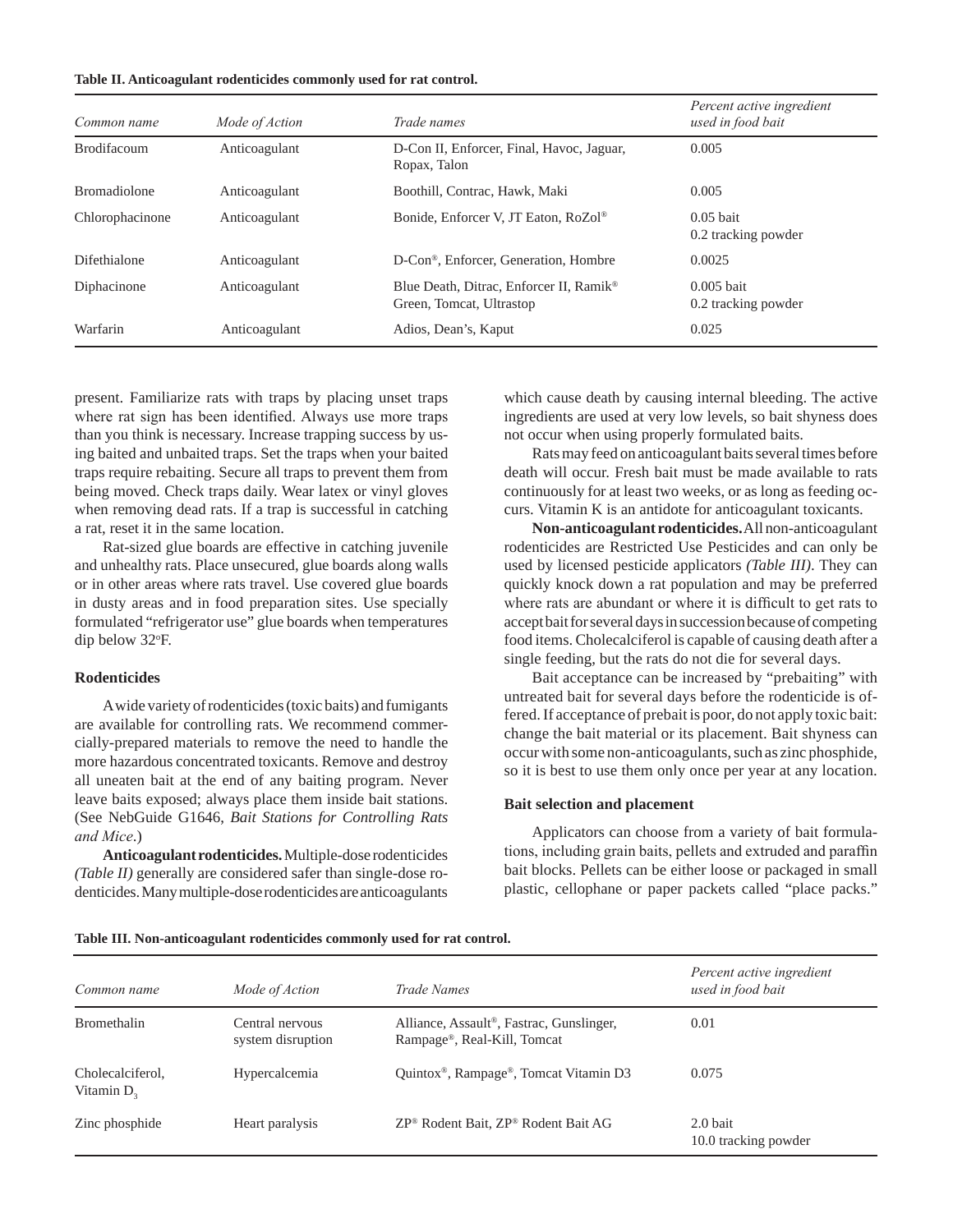| Table II. Anticoagulant rodenticides commonly used for rat control. |  |  |
|---------------------------------------------------------------------|--|--|
|                                                                     |  |  |

| Common name         | Mode of Action | Trade names                                                                     | Percent active ingredient<br>used in food bait |
|---------------------|----------------|---------------------------------------------------------------------------------|------------------------------------------------|
| <b>Brodifacoum</b>  | Anticoagulant  | D-Con II, Enforcer, Final, Havoc, Jaguar,<br>Ropax, Talon                       | 0.005                                          |
| <b>Bromadiolone</b> | Anticoagulant  | Boothill, Contrac, Hawk, Maki                                                   | 0.005                                          |
| Chlorophacinone     | Anticoagulant  | Bonide, Enforcer V, JT Eaton, RoZol®                                            | $0.05$ bait<br>0.2 tracking powder             |
| Difethialone        | Anticoagulant  | D-Con <sup>®</sup> , Enforcer, Generation, Hombre                               | 0.0025                                         |
| Diphacinone         | Anticoagulant  | Blue Death, Ditrac, Enforcer II, Ramik <sup>®</sup><br>Green, Tomcat, Ultrastop | $0.005$ bait<br>0.2 tracking powder            |
| Warfarin            | Anticoagulant  | Adios, Dean's, Kaput                                                            | 0.025                                          |

present. Familiarize rats with traps by placing unset traps where rat sign has been identified. Always use more traps than you think is necessary. Increase trapping success by using baited and unbaited traps. Set the traps when your baited traps require rebaiting. Secure all traps to prevent them from being moved. Check traps daily. Wear latex or vinyl gloves when removing dead rats. If a trap is successful in catching a rat, reset it in the same location.

Rat-sized glue boards are effective in catching juvenile and unhealthy rats. Place unsecured, glue boards along walls or in other areas where rats travel. Use covered glue boards in dusty areas and in food preparation sites. Use specially formulated "refrigerator use" glue boards when temperatures dip below 32o F.

# **Rodenticides**

A wide variety of rodenticides (toxic baits) and fumigants are available for controlling rats. We recommend commercially-prepared materials to remove the need to handle the more hazardous concentrated toxicants. Remove and destroy all uneaten bait at the end of any baiting program. Never leave baits exposed; always place them inside bait stations. (See NebGuide G1646, *Bait Stations for Controlling Rats and Mice*.)

**Anticoagulant rodenticides.** Multiple-dose rodenticides *(Table II)* generally are considered safer than single-dose rodenticides. Many multiple-dose rodenticides are anticoagulants

which cause death by causing internal bleeding. The active ingredients are used at very low levels, so bait shyness does not occur when using properly formulated baits.

Rats may feed on anticoagulant baits several times before death will occur. Fresh bait must be made available to rats continuously for at least two weeks, or as long as feeding occurs. Vitamin K is an antidote for anticoagulant toxicants.

**Non-anticoagulant rodenticides.** All non-anticoagulant rodenticides are Restricted Use Pesticides and can only be used by licensed pesticide applicators *(Table III)*. They can quickly knock down a rat population and may be preferred where rats are abundant or where it is difficult to get rats to accept bait for several days in succession because of competing food items. Cholecalciferol is capable of causing death after a single feeding, but the rats do not die for several days.

Bait acceptance can be increased by "prebaiting" with untreated bait for several days before the rodenticide is offered. If acceptance of prebait is poor, do not apply toxic bait: change the bait material or its placement. Bait shyness can occur with some non-anticoagulants, such as zinc phosphide, so it is best to use them only once per year at any location.

### **Bait selection and placement**

Applicators can choose from a variety of bait formulations, including grain baits, pellets and extruded and paraffin bait blocks. Pellets can be either loose or packaged in small plastic, cellophane or paper packets called "place packs."

|  | Table III. Non-anticoagulant rodenticides commonly used for rat control. |  |  |  |  |  |
|--|--------------------------------------------------------------------------|--|--|--|--|--|
|  |                                                                          |  |  |  |  |  |

| Common name                      | Mode of Action                       | <i>Trade Names</i>                                                      | Percent active ingredient<br>used in food bait |
|----------------------------------|--------------------------------------|-------------------------------------------------------------------------|------------------------------------------------|
| <b>Bromethalin</b>               | Central nervous<br>system disruption | Alliance, Assault®, Fastrac, Gunslinger,<br>Rampage®, Real-Kill, Tomcat | 0.01                                           |
| Cholecalciferol,<br>Vitamin $D2$ | Hypercalcemia                        | Quintox <sup>®</sup> , Rampage <sup>®</sup> , Tomcat Vitamin D3         | 0.075                                          |
| Zinc phosphide                   | Heart paralysis                      | ZP <sup>®</sup> Rodent Bait, ZP® Rodent Bait AG                         | 2.0 bait<br>10.0 tracking powder               |